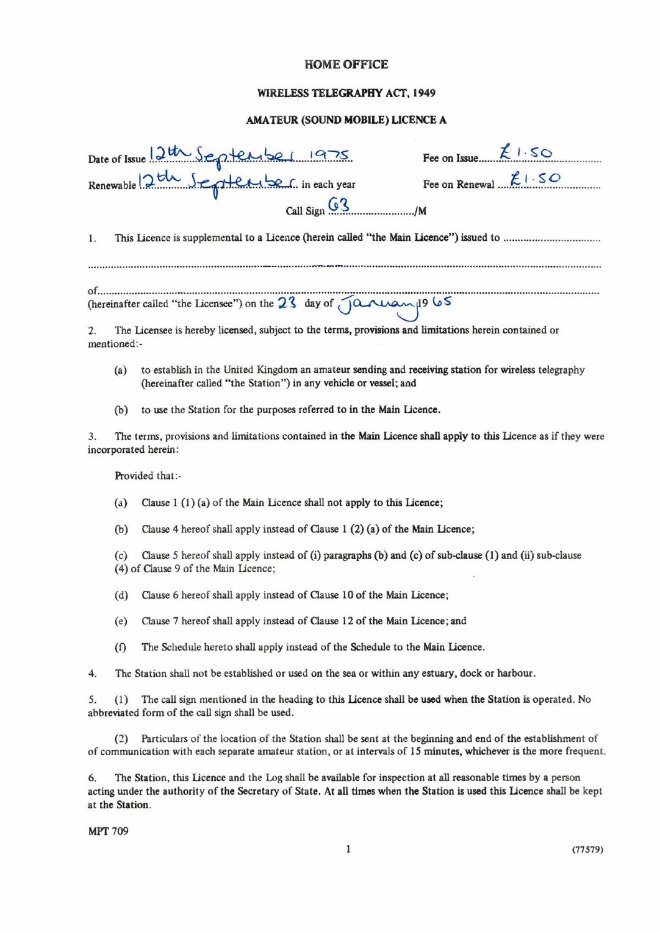### HOME OFFICE

## WlRELESS TELEGRAPHY ACT, 1949

### AMATEUR {SOUND MOBILE) LICENCE A

| Date of Issue 12th September 1975    | Fee on Issue $\mathcal{L} \cup S \odot$ |
|--------------------------------------|-----------------------------------------|
| Renewable 2th September in each year | Fee on Renewal $f: SO$                  |
| Call Sign $G_3$ $\frac{1}{2}$ M      |                                         |

1. This Licence is supplemental to a Licence (herein called "the Main Licence") issued to ....

of................... (hereinafter called " the Licensee") on the 23 day of January 1965

2. The Licensee is hereby licensed, subject to the terms, provisions and limitations herein contained or mentioned:-

- (1) to establish in the United Kingdom an amateur sending and receiving station for wireless telegraphy (hereinafter called "the Statlon") in any vehicle or vessel; and
- (b) to use the Station for the purposes referred to in the Main Licence.

3. The terms, provisions and limitations contained in the Main Licence shall apply to this Licence as if they were incorporated herein:

Provided that:

- (a) Clause 1 (1) (a) of the Main Licence shall not apply to this Licence;
- (b) Clause 4 hereof shall apply instead of Clause 1 (2)(a) of the Main Licence;

(c) Clause *5* hereof shall apply instead of (i) paragaphs (b) and (c) of sub-clause(I) and (ii) sub-clause (4) of Clause 9 of the Main Licence;

- (d) Clause 6 hereof shall apply instead of Clause 10 of the Main Licence;
- (e) Clause 7 hereof shall apply instead of Clause 12 of the Main Licence; and
- (f) The Schedule hereto shall apply instead of the Schedule to the Main Licence.
- 4. The Station shall not be established or used on the sea or within any estuary, dock or harbour.

5. (l) The call sign mentioned in the heading to this Licence shalll be used when the Station is operated. No abbreviated form of the call sign shall be used.

(2) Particulars of the location of the Stations shall be sent at the beginning and end of the establishment of of communication with each separate amateur station. or at intervals of 15minutes, whichever is the more frequent.

The Station, this Licence and the Log shall be available for inspection at all reasonable times by a person acting under the authority of the Secretary of State. At all times when the Station is used this Licence shall be kept at the Station.

**MPT 709**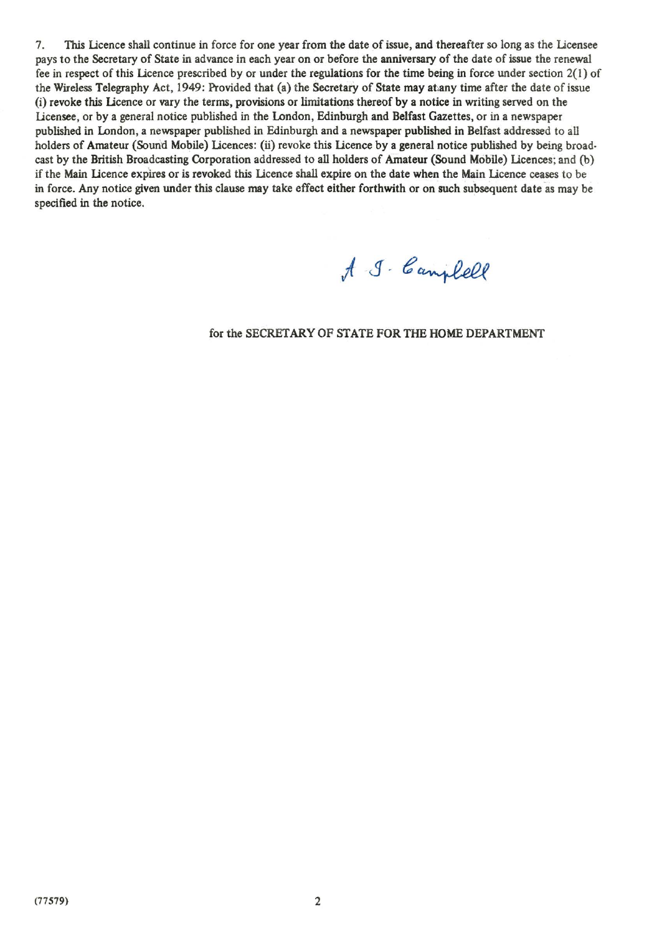7. This Licence shall continue in force for one year from the date of issue, and thereafter so long as the Licensee pays to the Secretary of State in advance in each year on or before the anniversary of the date of issue the renewal fee in respect of this Licence prescribed by or under the regulations for the time being in force under section 2(1) of the Wireless Telegraphy Act, 1949: Provided that (a) the Secretary of State may at any time after the date of issue (i) revoke this Licence or vary the terms, provisions or limitations thereof by a notice in writing served on the Licensee, or by a general notice published in the London, Edinburgh and Belfast Gazettes, or in a newspaper publlshed in London, a newspaper published in Edinburgh and a newspaper published in Belfast addressed to all holders of Amateur (Sound Mobile) Licences: (ii) revoke this Licence by a general notice published by being broadcast by the British Broadcasting Corporation addressed to all holders of Amateur (Sound Mobile) Licences; and (b) if the Main Licence expires or is revoked this Licence shall expire on the date when the Main Licence ceases to be in force. Any notice given under this clause may take effect either forthwith or on such subsequent date as may be speclfied in the notice.

A J. Campbell

#### for the SECRETARY OF *STATE* FOR THE HOME DEPARTMENT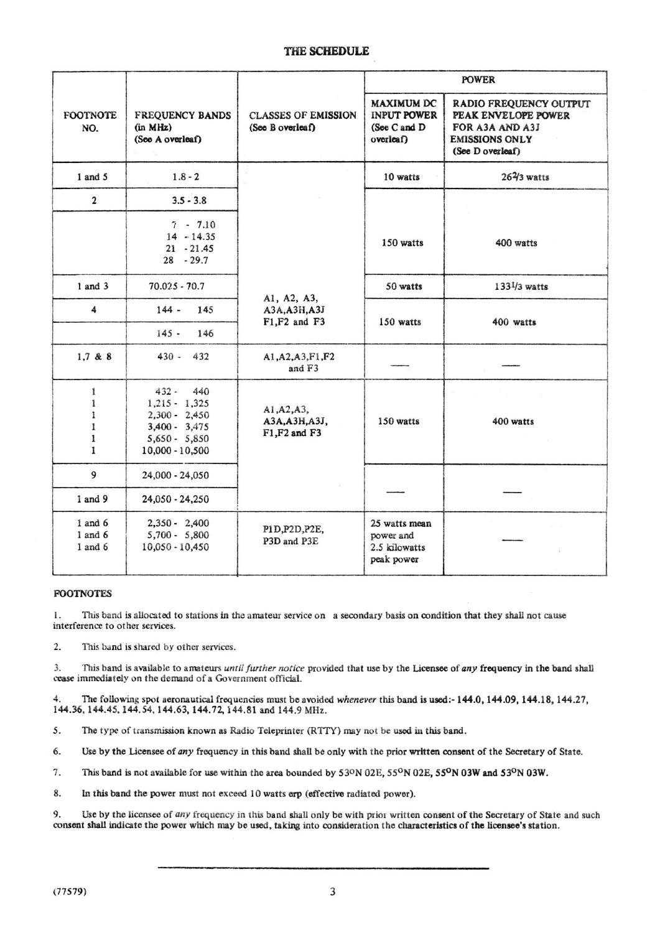|                                           |                                                                                                                 |                                                |                                                                | <b>POWER</b>                                                                                                  |  |
|-------------------------------------------|-----------------------------------------------------------------------------------------------------------------|------------------------------------------------|----------------------------------------------------------------|---------------------------------------------------------------------------------------------------------------|--|
| FOOTNOTE.<br>NO.                          | <b>FREQUENCY BANDS</b><br>(in MHz)<br>(See A overleaf)                                                          | <b>CLASSES OF EMISSION</b><br>(See B overleaf) | MAXIMUM DC<br><b>INPUT POWER</b><br>(See C and D)<br>Overleaf) | RADIO FREQUENCY OUTPUT<br>PEAK ENVELOPE POWER<br>FOR A3A AND A3J<br><b>EMISSIONS ONLY</b><br>(See D overleaf) |  |
| 1 and 5                                   | $1.8 - 2$                                                                                                       |                                                | 10 watts                                                       | $262$ / <sub>3</sub> watts                                                                                    |  |
| $\overline{a}$                            | $3.5 - 3.8$                                                                                                     |                                                |                                                                |                                                                                                               |  |
|                                           | $7 - 7.10$<br>$14 - 14.35$<br>$21 - 21.45$<br>$28 - 29.7$                                                       |                                                | 150 watts                                                      | 400 watts                                                                                                     |  |
| $1$ and $3$                               | $70.025 - 70.7$                                                                                                 | A1, A2, A3,                                    | 50 watts                                                       | 1331/3 watts                                                                                                  |  |
| $\ddot{a}$                                | $144 -$<br>145<br>146<br>$145 -$                                                                                | A3A.A3H.A3J<br>F1.F2 and F3                    | 150 watts                                                      | 400 watts                                                                                                     |  |
| 1.7 & 88                                  | $430 - 432$                                                                                                     | A1, A2, A3, F1, F2<br>and F3                   |                                                                |                                                                                                               |  |
| 1<br>1<br>ı<br>1<br>ı<br>1                | $432 -$<br>440<br>$1.215 - 1.325$<br>$2,300 - 2,450$<br>$3,400 - 3,475$<br>$5,650 - 5,850$<br>$10,000 - 10,500$ | A1.A2.A3.<br>A3A, A3H, A3J,<br>F1.F2 and F3    | 150 watts                                                      | 400 watts                                                                                                     |  |
| $\mathbf Q$                               | 24.000 - 24.050                                                                                                 |                                                |                                                                |                                                                                                               |  |
| 1 and 9                                   | 24,050 - 24,250                                                                                                 |                                                |                                                                |                                                                                                               |  |
| $1$ and $6$<br>$1$ and $6$<br>$1$ and $6$ | $2,350 - 2,400$<br>$5,700 - 5,800$<br>$10.050 - 10.450$                                                         | P1D.P2D.P2E,<br>P3D and P3E                    | 25 watts mean<br>power and<br>2.5 kilowatts<br>peak power      |                                                                                                               |  |

# **FOOTNOTES**

1. This band is allocated to stations in the amateur service on a secondary basis on condition that they shall not cause interference to other services.

 $\overline{2}$ This band is shared by other services.

3. This band is available to amateurs *until further notice* provided that use by the Licensee of any frequency in the band shall cease immediately on the demand of a Government official.

4. The following spot aeronautical frequencies must be avoided *whenever* this band is used:- 144.0, 144.09, 144.18, 144.27, 144.36, 144.45, 144.S4, 144.63, 144.72 ,144.81 and 144.9 MHz

 $\epsilon$ The type of transmission known as Radio Teleprinter (RTTY) may not be used in this band.

k. Use by the Licensee of any frequency in this band shall be only with the prior written consent of the Secretary of State.

 $\tau$ This band is not available for use within the area bounded by 53°N 02E, 55°N 02E, 55°N 03W and 53°N 03W.

 $\mathbf{R}$ In this band the power must not exceed 10 watts erp (effective radiated power).

9. Use by the licensee of *any* frequency in this band shall only be with prlor written consent of the Secretary of State and such consent shall indicate the power whlch may be used, taking into consideration the characteristicsof the licensees statlon.